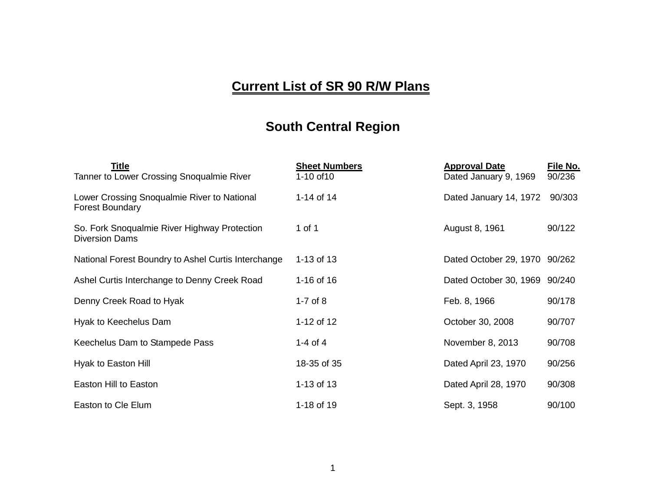## **Current List of SR 90 R/W Plans**

## **South Central Region**

| Title                                                                 | <b>Sheet Numbers</b> | <b>Approval Date</b>          | File No. |
|-----------------------------------------------------------------------|----------------------|-------------------------------|----------|
| Tanner to Lower Crossing Snoqualmie River                             | 1-10 of 10           | Dated January 9, 1969         | 90/236   |
| Lower Crossing Snoqualmie River to National<br><b>Forest Boundary</b> | 1-14 of 14           | Dated January 14, 1972        | 90/303   |
| So. Fork Snoqualmie River Highway Protection<br><b>Diversion Dams</b> | 1 of 1               | August 8, 1961                | 90/122   |
| National Forest Boundry to Ashel Curtis Interchange                   | 1-13 of 13           | Dated October 29, 1970 90/262 |          |
| Ashel Curtis Interchange to Denny Creek Road                          | 1-16 of 16           | Dated October 30, 1969 90/240 |          |
| Denny Creek Road to Hyak                                              | 1-7 of $8$           | Feb. 8, 1966                  | 90/178   |
| Hyak to Keechelus Dam                                                 | 1-12 of 12           | October 30, 2008              | 90/707   |
| Keechelus Dam to Stampede Pass                                        | 1-4 of 4             | November 8, 2013              | 90/708   |
| Hyak to Easton Hill                                                   | 18-35 of 35          | Dated April 23, 1970          | 90/256   |
| Easton Hill to Easton                                                 | 1-13 of 13           | Dated April 28, 1970          | 90/308   |
| Easton to Cle Elum                                                    | 1-18 of 19           | Sept. 3, 1958                 | 90/100   |